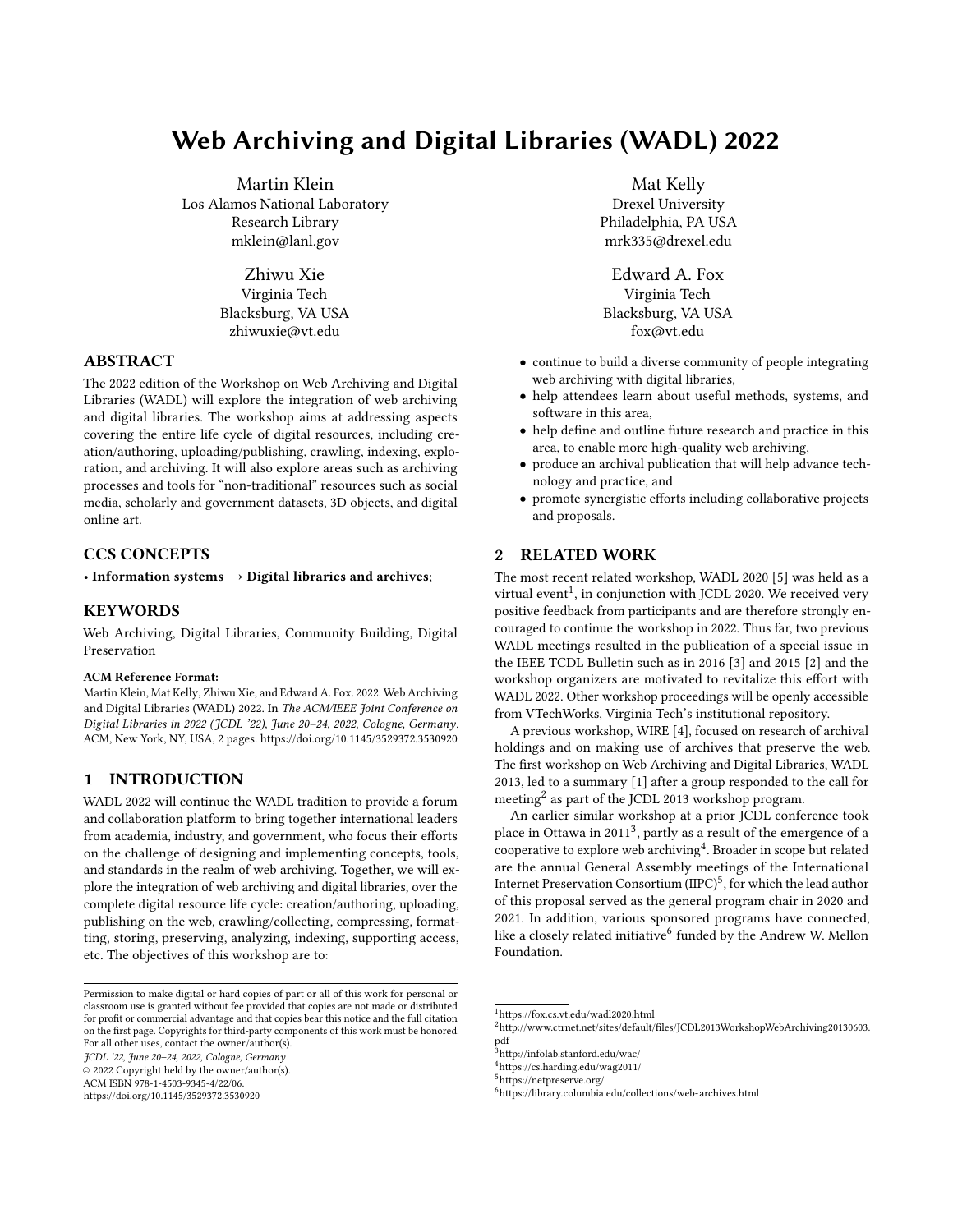# Web Archiving and Digital Libraries (WADL) 2022

Martin Klein Los Alamos National Laboratory Research Library mklein@lanl.gov

> Zhiwu Xie Virginia Tech Blacksburg, VA USA zhiwuxie@vt.edu

## ABSTRACT

The 2022 edition of the Workshop on Web Archiving and Digital Libraries (WADL) will explore the integration of web archiving and digital libraries. The workshop aims at addressing aspects covering the entire life cycle of digital resources, including creation/authoring, uploading/publishing, crawling, indexing, exploration, and archiving. It will also explore areas such as archiving processes and tools for "non-traditional" resources such as social media, scholarly and government datasets, 3D objects, and digital online art.

## CCS CONCEPTS

• Information systems  $\rightarrow$  Digital libraries and archives;

### **KEYWORDS**

Web Archiving, Digital Libraries, Community Building, Digital Preservation

#### ACM Reference Format:

Martin Klein, Mat Kelly, Zhiwu Xie, and Edward A. Fox. 2022. Web Archiving and Digital Libraries (WADL) 2022. In The ACM/IEEE Joint Conference on Digital Libraries in 2022 (JCDL '22), June 20–24, 2022, Cologne, Germany. ACM, New York, NY, USA, [2](#page-1-0) pages.<https://doi.org/10.1145/3529372.3530920>

## 1 INTRODUCTION

WADL 2022 will continue the WADL tradition to provide a forum and collaboration platform to bring together international leaders from academia, industry, and government, who focus their efforts on the challenge of designing and implementing concepts, tools, and standards in the realm of web archiving. Together, we will explore the integration of web archiving and digital libraries, over the complete digital resource life cycle: creation/authoring, uploading, publishing on the web, crawling/collecting, compressing, formatting, storing, preserving, analyzing, indexing, supporting access, etc. The objectives of this workshop are to:

JCDL '22, June 20–24, 2022, Cologne, Germany

© 2022 Copyright held by the owner/author(s).

ACM ISBN 978-1-4503-9345-4/22/06.

<https://doi.org/10.1145/3529372.3530920>

Mat Kelly Drexel University Philadelphia, PA USA mrk335@drexel.edu

Edward A. Fox Virginia Tech Blacksburg, VA USA fox@vt.edu

- continue to build a diverse community of people integrating web archiving with digital libraries,
- help attendees learn about useful methods, systems, and software in this area,
- help define and outline future research and practice in this area, to enable more high-quality web archiving,
- produce an archival publication that will help advance technology and practice, and
- promote synergistic efforts including collaborative projects and proposals.

## 2 RELATED WORK

The most recent related workshop, WADL 2020 [\[5\]](#page-1-1) was held as a virtual event $^1$  $^1$ , in conjunction with JCDL 2020. We received very positive feedback from participants and are therefore strongly encouraged to continue the workshop in 2022. Thus far, two previous WADL meetings resulted in the publication of a special issue in the IEEE TCDL Bulletin such as in 2016 [\[3\]](#page-1-2) and 2015 [\[2\]](#page-1-3) and the workshop organizers are motivated to revitalize this effort with WADL 2022. Other workshop proceedings will be openly accessible from VTechWorks, Virginia Tech's institutional repository.

A previous workshop, WIRE [\[4\]](#page-1-4), focused on research of archival holdings and on making use of archives that preserve the web. The first workshop on Web Archiving and Digital Libraries, WADL 2013, led to a summary [\[1\]](#page-1-5) after a group responded to the call for meeting<sup>[2](#page-0-1)</sup> as part of the JCDL 2013 workshop program.

An earlier similar workshop at a prior JCDL conference took place in Ottawa in 2011<sup>[3](#page-0-2)</sup>, partly as a result of the emergence of a cooperative to explore web archiving $\rm ^4$  $\rm ^4$ . Broader in scope but related are the annual General Assembly meetings of the International Internet Preservation Consortium  $(\mathrm{IIPC})^5$  $(\mathrm{IIPC})^5$ , for which the lead author of this proposal served as the general program chair in 2020 and 2021. In addition, various sponsored programs have connected, like a closely related initiative $^6$  $^6$  funded by the Andrew W. Mellon Foundation.

Permission to make digital or hard copies of part or all of this work for personal or classroom use is granted without fee provided that copies are not made or distributed for profit or commercial advantage and that copies bear this notice and the full citation on the first page. Copyrights for third-party components of this work must be honored. For all other uses, contact the owner/author(s).

<span id="page-0-0"></span><sup>1</sup><https://fox.cs.vt.edu/wadl2020.html>

<span id="page-0-1"></span><sup>2</sup>[http://www.ctrnet.net/sites/default/files/JCDL2013WorkshopWebArchiving20130603.](http://www.ctrnet.net/sites/default/files/JCDL2013WorkshopWebArchiving20130603.pdf) [pdf](http://www.ctrnet.net/sites/default/files/JCDL2013WorkshopWebArchiving20130603.pdf)

<span id="page-0-2"></span> $^3$ <http://infolab.stanford.edu/wac/>

<span id="page-0-3"></span><sup>4</sup><https://cs.harding.edu/wag2011/>

<span id="page-0-4"></span><sup>5</sup><https://netpreserve.org/>

<span id="page-0-5"></span><sup>6</sup><https://library.columbia.edu/collections/web-archives.html>